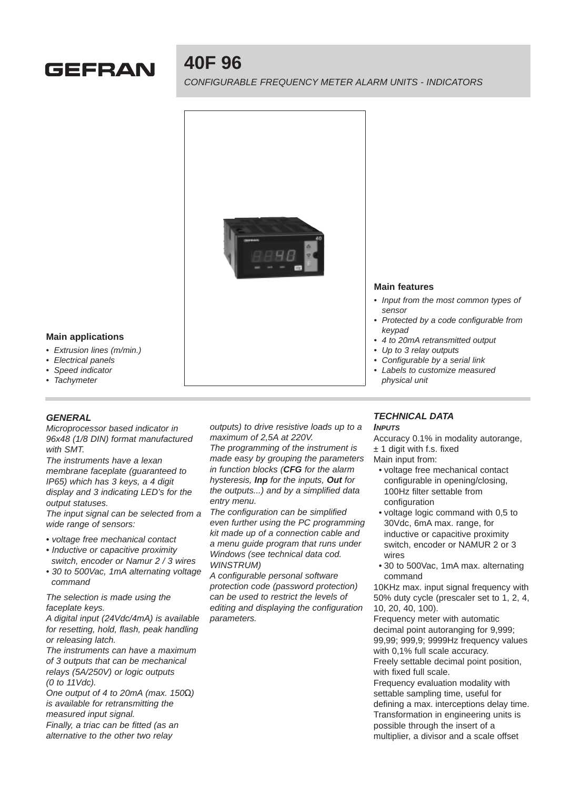# **GEFRAN**

## **40F 96**

CONFIGURABLE FREQUENCY METER ALARM UNITS - INDICATORS



### **Main features**

- Input from the most common types of sensor
- Protected by a code configurable from keypad
- 4 to 20mA retransmitted output
- Up to 3 relay outputs
- Configurable by a serial link
- Labels to customize measured physical unit

#### **Main applications**

- Extrusion lines (m/min.)
- Electrical panels
- Speed indicator
- **Tachymeter**

#### **GENERAL**

Microprocessor based indicator in 96x48 (1/8 DIN) format manufactured with SMT.

The instruments have a lexan membrane faceplate (guaranteed to IP65) which has 3 keys, a 4 digit display and 3 indicating LED's for the output statuses.

The input signal can be selected from a wide range of sensors:

- voltage free mechanical contact
- Inductive or capacitive proximity
- switch, encoder or Namur 2 / 3 wires • 30 to 500Vac, 1mA alternating voltage command

The selection is made using the faceplate keys.

A digital input (24Vdc/4mA) is available for resetting, hold, flash, peak handling or releasing latch.

The instruments can have a maximum of 3 outputs that can be mechanical relays (5A/250V) or logic outputs (0 to 11Vdc).

One output of 4 to 20mA (max. 150Ω) is available for retransmitting the measured input signal.

Finally, a triac can be fitted (as an alternative to the other two relay

outputs) to drive resistive loads up to a maximum of 2,5A at 220V.

The programming of the instrument is made easy by grouping the parameters in function blocks (**CFG** for the alarm hysteresis, **Inp** for the inputs, **Out** for the outputs...) and by a simplified data entry menu.

The configuration can be simplified even further using the PC programming kit made up of a connection cable and a menu guide program that runs under Windows (see technical data cod. WINSTRUM)

A configurable personal software protection code (password protection) can be used to restrict the levels of editing and displaying the configuration parameters.

## **TECHNICAL DATA**

**INPUTS**

Accuracy 0.1% in modality autorange, ± 1 digit with f.s. fixed

- Main input from:
	- voltage free mechanical contact configurable in opening/closing, 100Hz filter settable from configuration
	- voltage logic command with 0,5 to 30Vdc, 6mA max. range, for inductive or capacitive proximity switch, encoder or NAMUR 2 or 3 wires
- 30 to 500Vac, 1mA max. alternating command

10KHz max. input signal frequency with 50% duty cycle (prescaler set to 1, 2, 4, 10, 20, 40, 100).

Frequency meter with automatic decimal point autoranging for 9,999; 99,99; 999,9; 9999Hz frequency values with 0,1% full scale accuracy.

Freely settable decimal point position, with fixed full scale.

Frequency evaluation modality with settable sampling time, useful for defining a max. interceptions delay time. Transformation in engineering units is possible through the insert of a multiplier, a divisor and a scale offset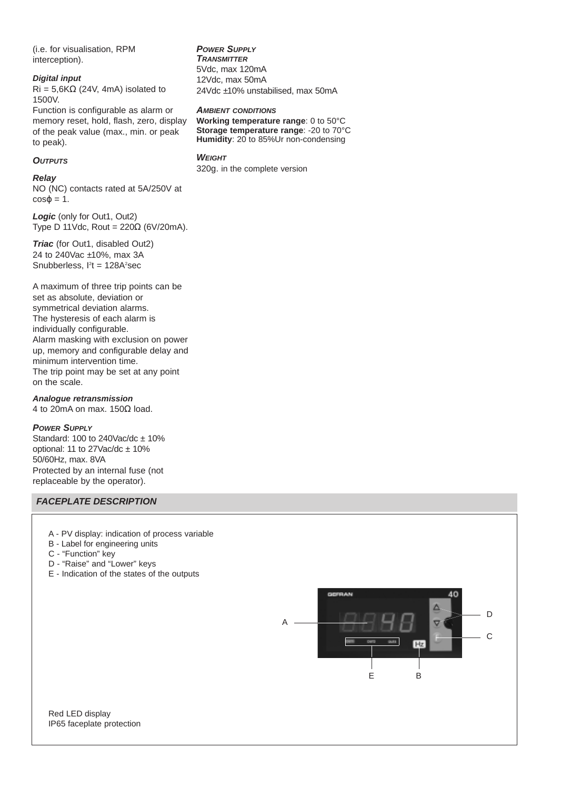(i.e. for visualisation, RPM interception).

#### **Digital input**

 $Ri = 5.6K\Omega$  (24V, 4mA) isolated to 1500V.

Function is configurable as alarm or memory reset, hold, flash, zero, display of the peak value (max., min. or peak to peak).

#### **OUTPUTS**

#### **Relay**

NO (NC) contacts rated at 5A/250V at  $cos\varphi = 1$ .

**Logic** (only for Out1, Out2) Type D 11Vdc, Rout =  $220\Omega$  (6V/20mA).

**Triac** (for Out1, disabled Out2) 24 to 240Vac ±10%, max 3A Snubberless,  $I<sup>2</sup>t = 128A<sup>2</sup>sec$ 

A maximum of three trip points can be set as absolute, deviation or symmetrical deviation alarms. The hysteresis of each alarm is individually configurable. Alarm masking with exclusion on power up, memory and configurable delay and minimum intervention time. The trip point may be set at any point on the scale.

#### **Analogue retransmission**

4 to 20mA on max. 150Ω load.

#### **POWER SUPPLY**

Standard: 100 to 240Vac/dc  $\pm$  10% optional: 11 to  $27$ Vac/dc  $\pm$  10% 50/60Hz, max. 8VA Protected by an internal fuse (not replaceable by the operator).

### **FACEPLATE DESCRIPTION**

- A PV display: indication of process variable
- B Label for engineering units
- C "Function" key
- D "Raise" and "Lower" keys
- E Indication of the states of the outputs



Red LED display IP65 faceplate protection

#### **POWER SUPPLY**

**TRANSMITTER** 5Vdc, max 120mA 12Vdc, max 50mA 24Vdc ±10% unstabilised, max 50mA

#### **AMBIENT CONDITIONS**

**Working temperature range**: 0 to 50°C **Storage temperature range**: -20 to 70°C **Humidity**: 20 to 85%Ur non-condensing

#### **WEIGHT**

320g. in the complete version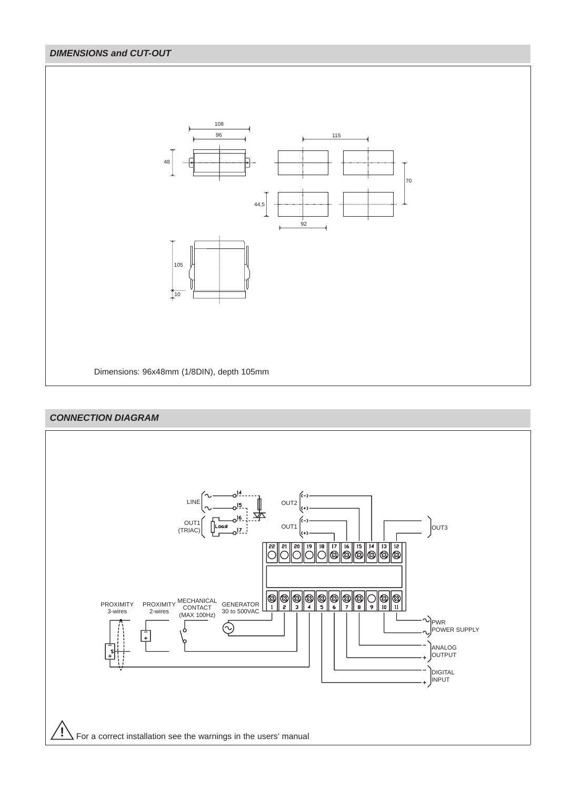## **DIMENSIONS and CUT-OUT**



## **CONNECTION DIAGRAM**